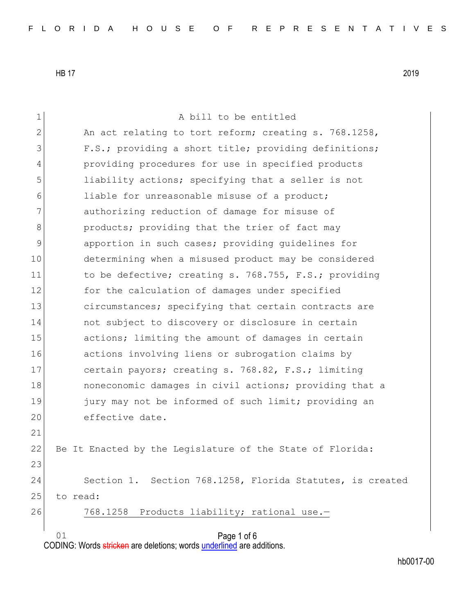01 Page 1 of 6 1 a bill to be entitled 2 An act relating to tort reform; creating s. 768.1258, 3 F.S.; providing a short title; providing definitions; 4 providing procedures for use in specified products 5 1iability actions; specifying that a seller is not 6 **liable for unreasonable misuse of a product;** 7 authorizing reduction of damage for misuse of 8 **products;** providing that the trier of fact may 9 3 apportion in such cases; providing quidelines for 10 determining when a misused product may be considered 11 to be defective; creating s. 768.755, F.S.; providing 12 for the calculation of damages under specified 13 circumstances; specifying that certain contracts are 14 not subject to discovery or disclosure in certain 15 actions; limiting the amount of damages in certain 16 actions involving liens or subrogation claims by 17 certain payors; creating s. 768.82, F.S.; limiting 18 **noneconomic damages in civil actions;** providing that a 19 jury may not be informed of such limit; providing an 20 effective date. 21 22 Be It Enacted by the Legislature of the State of Florida: 23 24 Section 1. Section 768.1258, Florida Statutes, is created 25 to read: 26 768.1258 Products liability; rational use.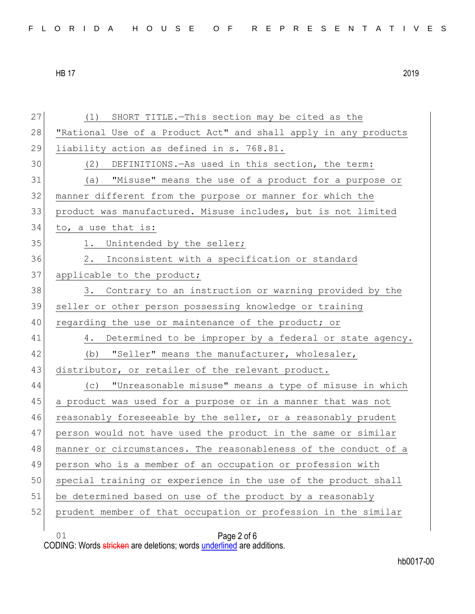|  |  |  |  |  |  |  |  |  |  | FLORIDA HOUSE OF REPRESENTATIVES |  |  |  |  |  |  |  |  |  |  |  |  |  |  |  |  |
|--|--|--|--|--|--|--|--|--|--|----------------------------------|--|--|--|--|--|--|--|--|--|--|--|--|--|--|--|--|
|--|--|--|--|--|--|--|--|--|--|----------------------------------|--|--|--|--|--|--|--|--|--|--|--|--|--|--|--|--|

01 Page 2 of 6 27 (1) SHORT TITLE. - This section may be cited as the 28 | "Rational Use of a Product Act" and shall apply in any products 29 liability action as defined in s. 768.81. 30 (2) DEFINITIONS.—As used in this section, the term: 31 (a) "Misuse" means the use of a product for a purpose or 32 manner different from the purpose or manner for which the 33 product was manufactured. Misuse includes, but is not limited 34 to, a use that is: 35 1. Unintended by the seller; 36 2. Inconsistent with a specification or standard 37 applicable to the product; 38 3. Contrary to an instruction or warning provided by the 39 seller or other person possessing knowledge or training 40 regarding the use or maintenance of the product; or 41 4. Determined to be improper by a federal or state agency. 42 (b) "Seller" means the manufacturer, wholesaler, 43 distributor, or retailer of the relevant product. 44 (c) "Unreasonable misuse" means a type of misuse in which 45 a product was used for a purpose or in a manner that was not 46 reasonably foreseeable by the seller, or a reasonably prudent 47 person would not have used the product in the same or similar 48 manner or circumstances. The reasonableness of the conduct of a 49 person who is a member of an occupation or profession with 50 special training or experience in the use of the product shall 51 be determined based on use of the product by a reasonably 52 prudent member of that occupation or profession in the similar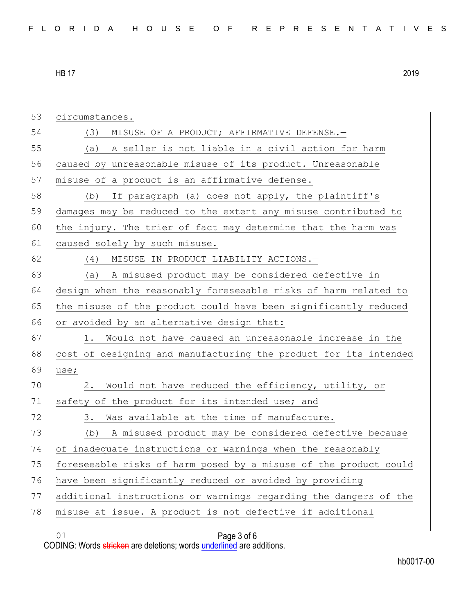| 53 | circumstances.                                                   |
|----|------------------------------------------------------------------|
| 54 | MISUSE OF A PRODUCT; AFFIRMATIVE DEFENSE.-<br>(3)                |
| 55 | (a) A seller is not liable in a civil action for harm            |
| 56 | caused by unreasonable misuse of its product. Unreasonable       |
| 57 | misuse of a product is an affirmative defense.                   |
| 58 | If paragraph (a) does not apply, the plaintiff's<br>(b)          |
| 59 | damages may be reduced to the extent any misuse contributed to   |
| 60 | the injury. The trier of fact may determine that the harm was    |
| 61 | caused solely by such misuse.                                    |
| 62 | MISUSE IN PRODUCT LIABILITY ACTIONS.-<br>(4)                     |
| 63 | A misused product may be considered defective in<br>(a)          |
| 64 | design when the reasonably foreseeable risks of harm related to  |
| 65 | the misuse of the product could have been significantly reduced  |
| 66 | or avoided by an alternative design that:                        |
| 67 | Would not have caused an unreasonable increase in the<br>1.      |
| 68 | cost of designing and manufacturing the product for its intended |
| 69 | use;                                                             |
| 70 | Would not have reduced the efficiency, utility, or<br>2.         |
| 71 | safety of the product for its intended use; and                  |
| 72 | Was available at the time of manufacture.<br>3.                  |
| 73 | A misused product may be considered defective because<br>(b)     |
| 74 | of inadequate instructions or warnings when the reasonably       |
| 75 | foreseeable risks of harm posed by a misuse of the product could |
| 76 | have been significantly reduced or avoided by providing          |
| 77 | additional instructions or warnings regarding the dangers of the |
| 78 | misuse at issue. A product is not defective if additional        |
|    | 01<br>Page 3 of 6                                                |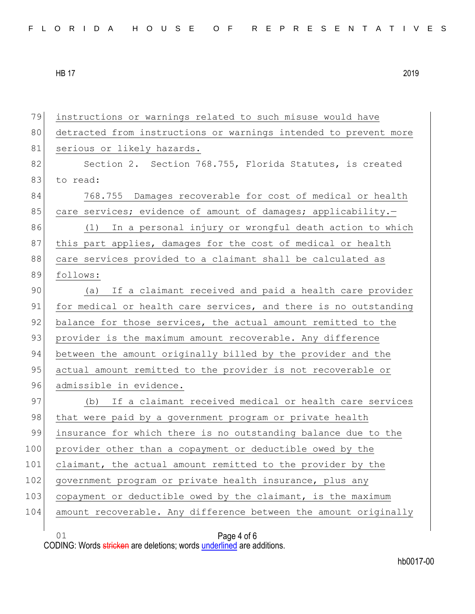01 Page 4 of 6 79 instructions or warnings related to such misuse would have 80 detracted from instructions or warnings intended to prevent more 81 serious or likely hazards. 82 Section 2. Section 768.755, Florida Statutes, is created 83 to read: 84 768.755 Damages recoverable for cost of medical or health 85 care services; evidence of amount of damages; applicability. 86 (1) In a personal injury or wrongful death action to which 87 this part applies, damages for the cost of medical or health 88 care services provided to a claimant shall be calculated as 89 follows: 90 (a) If a claimant received and paid a health care provider 91 for medical or health care services, and there is no outstanding 92 balance for those services, the actual amount remitted to the 93 provider is the maximum amount recoverable. Any difference 94 between the amount originally billed by the provider and the 95 actual amount remitted to the provider is not recoverable or 96 admissible in evidence. 97 (b) If a claimant received medical or health care services 98 that were paid by a government program or private health 99 insurance for which there is no outstanding balance due to the 100 provider other than a copayment or deductible owed by the 101 claimant, the actual amount remitted to the provider by the 102 government program or private health insurance, plus any 103 copayment or deductible owed by the claimant, is the maximum 104 amount recoverable. Any difference between the amount originally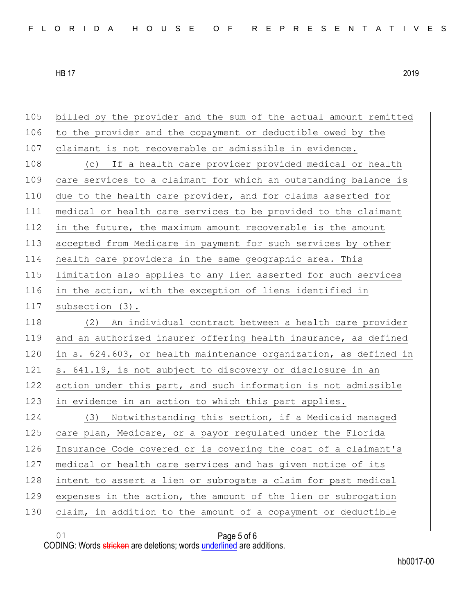| 105 | billed by the provider and the sum of the actual amount remitted |
|-----|------------------------------------------------------------------|
| 106 | to the provider and the copayment or deductible owed by the      |
| 107 | claimant is not recoverable or admissible in evidence.           |
| 108 | (c) If a health care provider provided medical or health         |
| 109 | care services to a claimant for which an outstanding balance is  |
| 110 | due to the health care provider, and for claims asserted for     |
| 111 | medical or health care services to be provided to the claimant   |
| 112 | in the future, the maximum amount recoverable is the amount      |
| 113 | accepted from Medicare in payment for such services by other     |
| 114 | health care providers in the same geographic area. This          |
| 115 | limitation also applies to any lien asserted for such services   |
| 116 | in the action, with the exception of liens identified in         |
| 117 | subsection (3).                                                  |
| 118 | (2) An individual contract between a health care provider        |
| 119 | and an authorized insurer offering health insurance, as defined  |
| 120 | in s. 624.603, or health maintenance organization, as defined in |
| 121 | s. 641.19, is not subject to discovery or disclosure in an       |
| 122 | action under this part, and such information is not admissible   |
| 123 | in evidence in an action to which this part applies.             |
| 124 | Notwithstanding this section, if a Medicaid managed<br>(3)       |
| 125 | care plan, Medicare, or a payor regulated under the Florida      |
| 126 | Insurance Code covered or is covering the cost of a claimant's   |
| 127 | medical or health care services and has given notice of its      |
| 128 | intent to assert a lien or subrogate a claim for past medical    |
| 129 | expenses in the action, the amount of the lien or subrogation    |
| 130 | claim, in addition to the amount of a copayment or deductible    |
|     | 01<br>Page 5 of 6                                                |